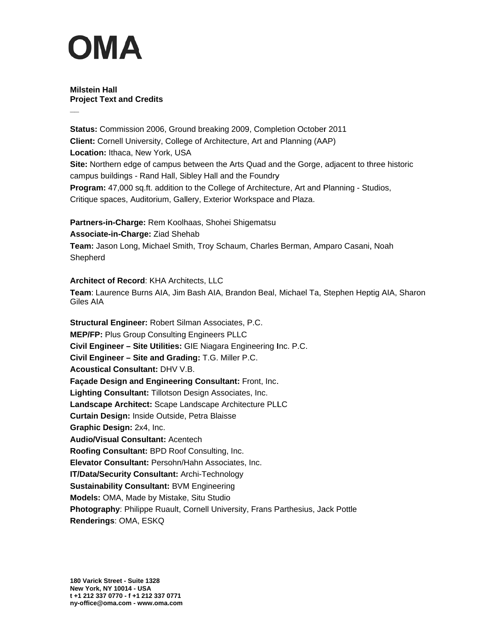**Milstein Hall Project Text and Credits** 

Status: Commission 2006, Ground breaking 2009, Completion October 2011 **Client:** Cornell University, College of Architecture, Art and Planning (AAP) Location: Ithaca, New York, USA Site: Northern edge of campus between the Arts Quad and the Gorge, adjacent to three historic campus buildings - Rand Hall, Sibley Hall and the Foundry Program: 47,000 sq.ft. addition to the College of Architecture, Art and Planning - Studios, Critique spaces, Auditorium, Gallery, Exterior Workspace and Plaza.

Partners-in-Charge: Rem Koolhaas, Shohei Shigematsu Associate-in-Charge: Ziad Shehab Team: Jason Long, Michael Smith, Troy Schaum, Charles Berman, Amparo Casani, Noah Shepherd

Architect of Record: KHA Architects, LLC Team: Laurence Burns AIA, Jim Bash AIA, Brandon Beal, Michael Ta, Stephen Heptig AIA, Sharon Giles AIA

Structural Engineer: Robert Silman Associates, P.C. **MEP/FP: Plus Group Consulting Engineers PLLC** Civil Engineer - Site Utilities: GIE Niagara Engineering Inc. P.C. Civil Engineer - Site and Grading: T.G. Miller P.C. **Acoustical Consultant: DHV V.B.** Façade Design and Engineering Consultant: Front, Inc. Lighting Consultant: Tillotson Design Associates, Inc. Landscape Architect: Scape Landscape Architecture PLLC Curtain Design: Inside Outside, Petra Blaisse Graphic Design: 2x4, Inc. **Audio/Visual Consultant: Acentech** Roofing Consultant: BPD Roof Consulting, Inc. Elevator Consultant: Persohn/Hahn Associates, Inc. IT/Data/Security Consultant: Archi-Technology **Sustainability Consultant: BVM Engineering Models: OMA, Made by Mistake, Situ Studio** Photography: Philippe Ruault, Cornell University, Frans Parthesius, Jack Pottle Renderings: OMA, ESKQ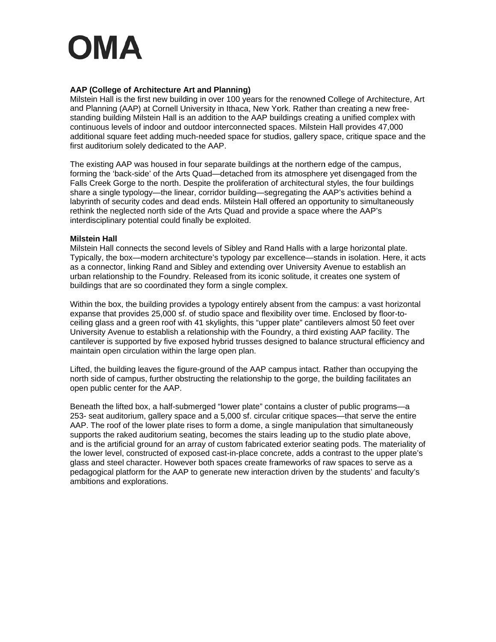### AAP (College of Architecture Art and Planning)

Milstein Hall is the first new building in over 100 years for the renowned College of Architecture, Art and Planning (AAP) at Cornell University in Ithaca, New York. Rather than creating a new freestanding building Milstein Hall is an addition to the AAP buildings creating a unified complex with continuous levels of indoor and outdoor interconnected spaces. Milstein Hall provides 47,000 additional square feet adding much-needed space for studios, gallery space, critique space and the first auditorium solely dedicated to the AAP.

The existing AAP was housed in four separate buildings at the northern edge of the campus, forming the 'back-side' of the Arts Quad—detached from its atmosphere yet disengaged from the Falls Creek Gorge to the north. Despite the proliferation of architectural styles, the four buildings share a single typology-the linear, corridor building-segregating the AAP's activities behind a labyrinth of security codes and dead ends. Milstein Hall offered an opportunity to simultaneously rethink the neglected north side of the Arts Quad and provide a space where the AAP's interdisciplinary potential could finally be exploited.

#### **Milstein Hall**

Milstein Hall connects the second levels of Sibley and Rand Halls with a large horizontal plate. Typically, the box—modern architecture's typology par excellence—stands in isolation. Here, it acts as a connector, linking Rand and Sibley and extending over University Avenue to establish an urban relationship to the Foundry. Released from its iconic solitude, it creates one system of buildings that are so coordinated they form a single complex.

Within the box, the building provides a typology entirely absent from the campus: a vast horizontal expanse that provides 25,000 sf. of studio space and flexibility over time. Enclosed by floor-toceiling glass and a green roof with 41 skylights, this "upper plate" cantilevers almost 50 feet over University Avenue to establish a relationship with the Foundry, a third existing AAP facility. The cantilever is supported by five exposed hybrid trusses designed to balance structural efficiency and maintain open circulation within the large open plan.

Lifted, the building leaves the figure-ground of the AAP campus intact. Rather than occupying the north side of campus, further obstructing the relationship to the gorge, the building facilitates an open public center for the AAP.

Beneath the lifted box, a half-submerged "lower plate" contains a cluster of public programs-a 253- seat auditorium, gallery space and a 5,000 sf. circular critique spaces—that serve the entire AAP. The roof of the lower plate rises to form a dome, a single manipulation that simultaneously supports the raked auditorium seating, becomes the stairs leading up to the studio plate above, and is the artificial ground for an array of custom fabricated exterior seating pods. The materiality of the lower level, constructed of exposed cast-in-place concrete, adds a contrast to the upper plate's glass and steel character. However both spaces create frameworks of raw spaces to serve as a pedagogical platform for the AAP to generate new interaction driven by the students' and faculty's ambitions and explorations.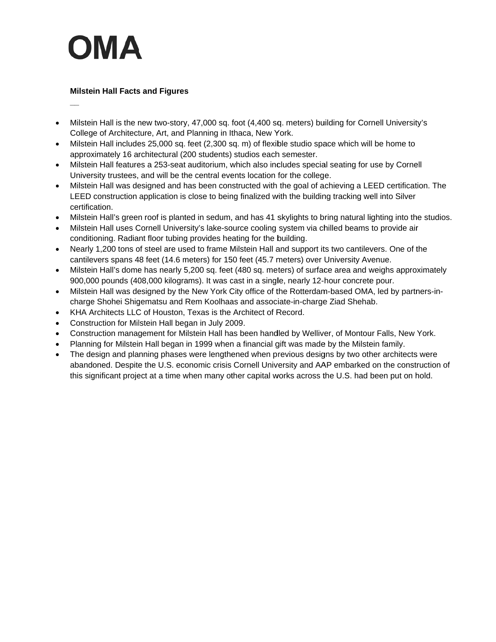### **Milstein Hall Facts and Figures**

- Milstein Hall is the new two-story, 47,000 sq. foot (4,400 sq. meters) building for Cornell University's  $\bullet$ College of Architecture, Art, and Planning in Ithaca, New York.
- Milstein Hall includes 25,000 sq. feet (2,300 sq. m) of flexible studio space which will be home to approximately 16 architectural (200 students) studios each semester.
- Milstein Hall features a 253-seat auditorium, which also includes special seating for use by Cornell  $\bullet$ University trustees, and will be the central events location for the college.
- Milstein Hall was designed and has been constructed with the goal of achieving a LEED certification. The LEED construction application is close to being finalized with the building tracking well into Silver certification.
- Milstein Hall's green roof is planted in sedum, and has 41 skylights to bring natural lighting into the studios.
- Milstein Hall uses Cornell University's lake-source cooling system via chilled beams to provide air conditioning. Radiant floor tubing provides heating for the building.
- Nearly 1,200 tons of steel are used to frame Milstein Hall and support its two cantilevers. One of the  $\bullet$ cantilevers spans 48 feet (14.6 meters) for 150 feet (45.7 meters) over University Avenue.
- Milstein Hall's dome has nearly 5,200 sq. feet (480 sq. meters) of surface area and weighs approximately  $\bullet$ 900,000 pounds (408,000 kilograms). It was cast in a single, nearly 12-hour concrete pour.
- Milstein Hall was designed by the New York City office of the Rotterdam-based OMA, led by partners-in- $\bullet$ charge Shohei Shigematsu and Rem Koolhaas and associate-in-charge Ziad Shehab.
- KHA Architects LLC of Houston, Texas is the Architect of Record.
- Construction for Milstein Hall began in July 2009.
- Construction management for Milstein Hall has been handled by Welliver, of Montour Falls, New York.
- Planning for Milstein Hall began in 1999 when a financial gift was made by the Milstein family.
- The design and planning phases were lengthened when previous designs by two other architects were  $\bullet$ abandoned. Despite the U.S. economic crisis Cornell University and AAP embarked on the construction of this significant project at a time when many other capital works across the U.S. had been put on hold.